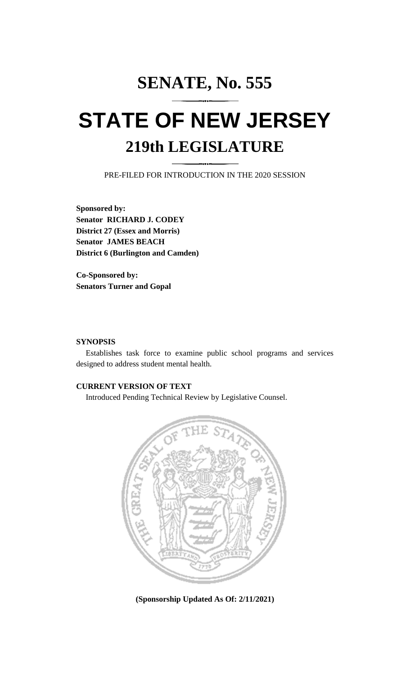# **SENATE, No. 555 STATE OF NEW JERSEY 219th LEGISLATURE**

PRE-FILED FOR INTRODUCTION IN THE 2020 SESSION

**Sponsored by: Senator RICHARD J. CODEY District 27 (Essex and Morris) Senator JAMES BEACH District 6 (Burlington and Camden)**

**Co-Sponsored by: Senators Turner and Gopal**

### **SYNOPSIS**

Establishes task force to examine public school programs and services designed to address student mental health.

## **CURRENT VERSION OF TEXT**

Introduced Pending Technical Review by Legislative Counsel.



**(Sponsorship Updated As Of: 2/11/2021)**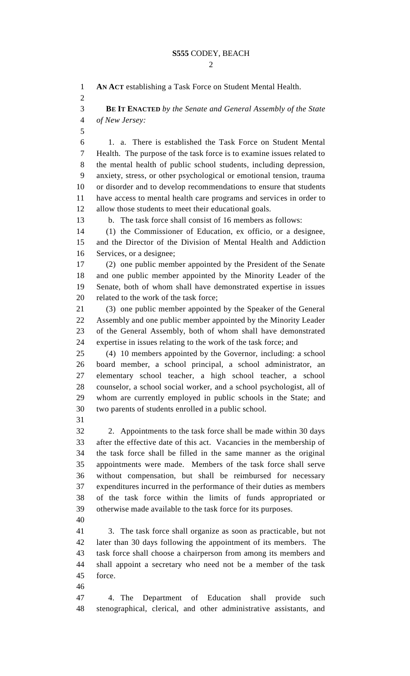$\mathcal{D}_{\mathcal{L}}$  **AN ACT** establishing a Task Force on Student Mental Health. **BE IT ENACTED** *by the Senate and General Assembly of the State of New Jersey:* 1. a. There is established the Task Force on Student Mental Health. The purpose of the task force is to examine issues related to the mental health of public school students, including depression, anxiety, stress, or other psychological or emotional tension, trauma or disorder and to develop recommendations to ensure that students have access to mental health care programs and services in order to allow those students to meet their educational goals. b. The task force shall consist of 16 members as follows: (1) the Commissioner of Education, ex officio, or a designee, and the Director of the Division of Mental Health and Addiction Services, or a designee; (2) one public member appointed by the President of the Senate and one public member appointed by the Minority Leader of the Senate, both of whom shall have demonstrated expertise in issues related to the work of the task force; (3) one public member appointed by the Speaker of the General Assembly and one public member appointed by the Minority Leader of the General Assembly, both of whom shall have demonstrated expertise in issues relating to the work of the task force; and (4) 10 members appointed by the Governor, including: a school board member, a school principal, a school administrator, an elementary school teacher, a high school teacher, a school counselor, a school social worker, and a school psychologist, all of whom are currently employed in public schools in the State; and two parents of students enrolled in a public school. 2. Appointments to the task force shall be made within 30 days after the effective date of this act. Vacancies in the membership of the task force shall be filled in the same manner as the original appointments were made. Members of the task force shall serve without compensation, but shall be reimbursed for necessary expenditures incurred in the performance of their duties as members of the task force within the limits of funds appropriated or otherwise made available to the task force for its purposes. 3. The task force shall organize as soon as practicable, but not later than 30 days following the appointment of its members. The task force shall choose a chairperson from among its members and shall appoint a secretary who need not be a member of the task force. 4. The Department of Education shall provide such stenographical, clerical, and other administrative assistants, and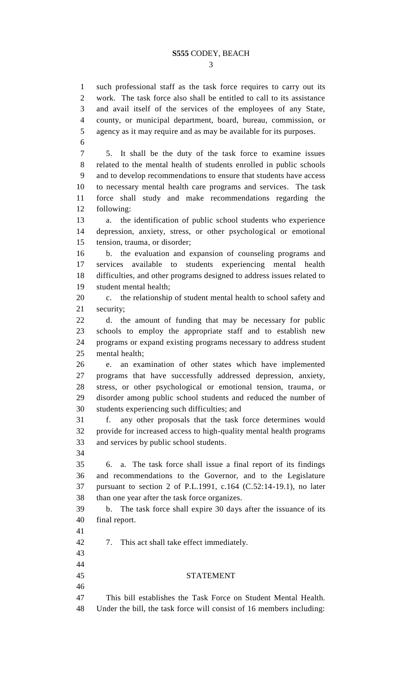#### **S555** CODEY, BEACH

 such professional staff as the task force requires to carry out its work. The task force also shall be entitled to call to its assistance

 and avail itself of the services of the employees of any State, county, or municipal department, board, bureau, commission, or agency as it may require and as may be available for its purposes. 5. It shall be the duty of the task force to examine issues related to the mental health of students enrolled in public schools and to develop recommendations to ensure that students have access to necessary mental health care programs and services. The task force shall study and make recommendations regarding the following: a. the identification of public school students who experience depression, anxiety, stress, or other psychological or emotional tension, trauma, or disorder; b. the evaluation and expansion of counseling programs and services available to students experiencing mental health difficulties, and other programs designed to address issues related to student mental health; c. the relationship of student mental health to school safety and security; d. the amount of funding that may be necessary for public schools to employ the appropriate staff and to establish new programs or expand existing programs necessary to address student mental health; e. an examination of other states which have implemented programs that have successfully addressed depression, anxiety,

 stress, or other psychological or emotional tension, trauma, or disorder among public school students and reduced the number of students experiencing such difficulties; and

 f. any other proposals that the task force determines would provide for increased access to high-quality mental health programs and services by public school students.

 

 6. a. The task force shall issue a final report of its findings and recommendations to the Governor, and to the Legislature pursuant to section 2 of P.L.1991, c.164 (C.52:14-19.1), no later than one year after the task force organizes.

 b. The task force shall expire 30 days after the issuance of its final report.

7. This act shall take effect immediately.

#### STATEMENT

 This bill establishes the Task Force on Student Mental Health. Under the bill, the task force will consist of 16 members including: